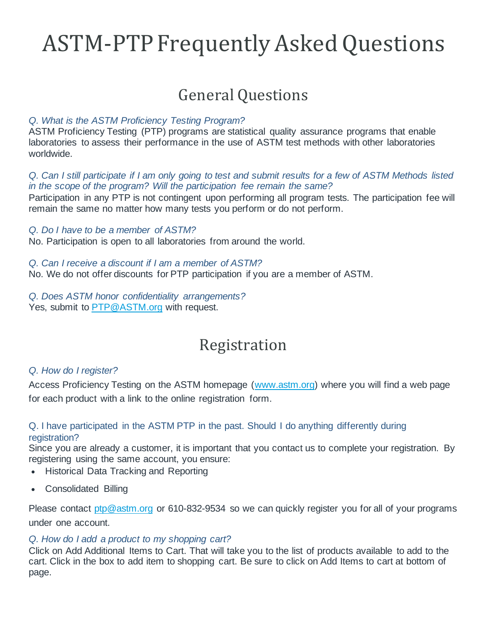# ASTM-PTP Frequently Asked Questions

# General Questions

# *Q. What is the ASTM Proficiency Testing Program?*

ASTM Proficiency Testing (PTP) programs are statistical quality assurance programs that enable laboratories to assess their performance in the use of ASTM test methods with other laboratories worldwide.

# *Q. Can I still participate if I am only going to test and submit results for a few of ASTM Methods listed in the scope of the program? Will the participation fee remain the same?*

Participation in any PTP is not contingent upon performing all program tests. The participation fee will remain the same no matter how many tests you perform or do not perform.

# *Q. Do I have to be a member of ASTM?*

No. Participation is open to all laboratories from around the world.

*Q. Can I receive a discount if I am a member of ASTM?* No. We do not offer discounts for PTP participation if you are a member of ASTM.

*Q. Does ASTM honor confidentiality arrangements?* Yes, submit to [PTP@ASTM.org](mailto:ptp@astm.org) with request.

# Registration

# *Q. How do I register?*

Access Proficiency Testing on the ASTM homepage [\(www.astm.org\)](https://www.astm.org/index.html) where you will find a web page for each product with a link to the online registration form.

# Q. I have participated in the ASTM PTP in the past. Should I do anything differently during registration?

Since you are already a customer, it is important that you contact us to complete your registration. By registering using the same account, you ensure:

- Historical Data Tracking and Reporting
- Consolidated Billing

Please contact [ptp@astm.org](mailto:ptp@astm.org) or 610-832-9534 so we can quickly register you for all of your programs under one account.

# *Q. How do I add a product to my shopping cart?*

Click on Add Additional Items to Cart. That will take you to the list of products available to add to the cart. Click in the box to add item to shopping cart. Be sure to click on Add Items to cart at bottom of page.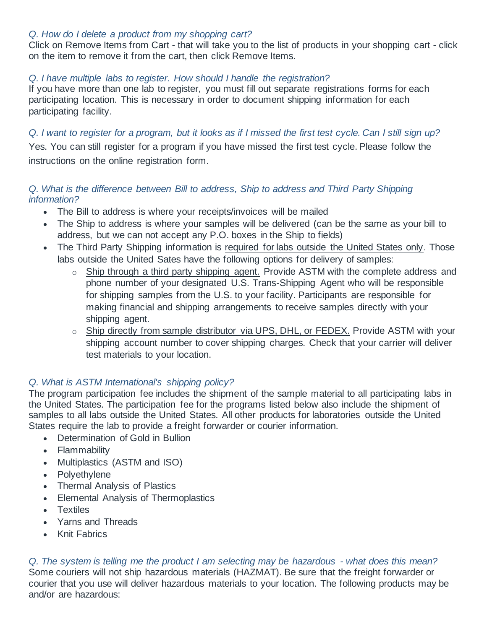# *Q. How do I delete a product from my shopping cart?*

Click on Remove Items from Cart - that will take you to the list of products in your shopping cart - click on the item to remove it from the cart, then click Remove Items.

# *Q. I have multiple labs to register. How should I handle the registration?*

If you have more than one lab to register, you must fill out separate registrations forms for each participating location. This is necessary in order to document shipping information for each participating facility.

# *Q. I want to register for a program, but it looks as if I missed the first test cycle. Can I still sign up?*

Yes. You can still register for a program if you have missed the first test cycle. Please follow the instructions on the online registration form.

# *Q. What is the difference between Bill to address, Ship to address and Third Party Shipping information?*

- The Bill to address is where your receipts/invoices will be mailed
- The Ship to address is where your samples will be delivered (can be the same as your bill to address, but we can not accept any P.O. boxes in the Ship to fields)
- The Third Party Shipping information is required for labs outside the United States only. Those labs outside the United Sates have the following options for delivery of samples:
	- o Ship through a third party shipping agent. Provide ASTM with the complete address and phone number of your designated U.S. Trans-Shipping Agent who will be responsible for shipping samples from the U.S. to your facility. Participants are responsible for making financial and shipping arrangements to receive samples directly with your shipping agent.
	- o Ship directly from sample distributor via UPS, DHL, or FEDEX. Provide ASTM with your shipping account number to cover shipping charges. Check that your carrier will deliver test materials to your location.

# *Q. What is ASTM International's shipping policy?*

The program participation fee includes the shipment of the sample material to all participating labs in the United States. The participation fee for the programs listed below also include the shipment of samples to all labs outside the United States. All other products for laboratories outside the United States require the lab to provide a freight forwarder or courier information.

- Determination of Gold in Bullion
- Flammability
- Multiplastics (ASTM and ISO)
- Polyethylene
- Thermal Analysis of Plastics
- Elemental Analysis of Thermoplastics
- Textiles
- Yarns and Threads
- Knit Fabrics

*Q. The system is telling me the product I am selecting may be hazardous - what does this mean?* Some couriers will not ship hazardous materials (HAZMAT). Be sure that the freight forwarder or courier that you use will deliver hazardous materials to your location. The following products may be and/or are hazardous: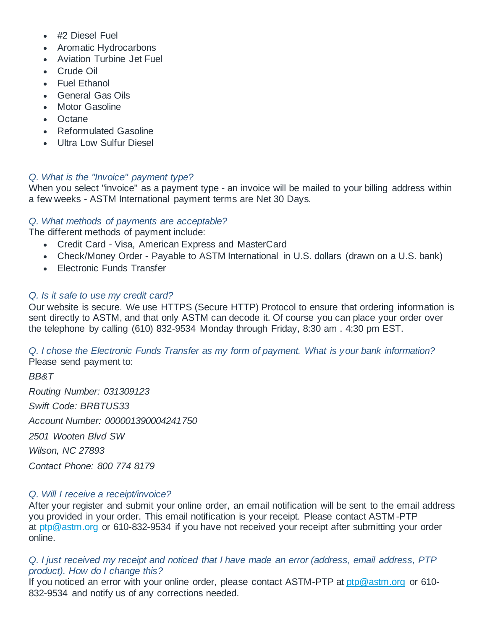- #2 Diesel Fuel
- Aromatic Hydrocarbons
- Aviation Turbine Jet Fuel
- Crude Oil
- Fuel Ethanol
- General Gas Oils
- **Motor Gasoline**
- Octane
- Reformulated Gasoline
- Ultra Low Sulfur Diesel

# *Q. What is the "Invoice" payment type?*

When you select "invoice" as a payment type - an invoice will be mailed to your billing address within a few weeks - ASTM International payment terms are Net 30 Days.

# *Q. What methods of payments are acceptable?*

The different methods of payment include:

- Credit Card Visa, American Express and MasterCard
- Check/Money Order Payable to ASTM International in U.S. dollars (drawn on a U.S. bank)
- Electronic Funds Transfer

# *Q. Is it safe to use my credit card?*

Our website is secure. We use HTTPS (Secure HTTP) Protocol to ensure that ordering information is sent directly to ASTM, and that only ASTM can decode it. Of course you can place your order over the telephone by calling (610) 832-9534 Monday through Friday, 8:30 am . 4:30 pm EST.

*Q. I chose the Electronic Funds Transfer as my form of payment. What is your bank information?* Please send payment to:

*BB&T Routing Number: 031309123 Swift Code: BRBTUS33 Account Number: 000001390004241750 2501 Wooten Blvd SW Wilson, NC 27893*

*Contact Phone: 800 774 8179*

# *Q. Will I receive a receipt/invoice?*

After your register and submit your online order, an email notification will be sent to the email address you provided in your order. This email notification is your receipt. Please contact ASTM-PTP at [ptp@astm.org](mailto:ptp@astm.org) or 610-832-9534 if you have not received your receipt after submitting your order online.

# *Q. I just received my receipt and noticed that I have made an error (address, email address, PTP product). How do I change this?*

If you noticed an error with your online order, please contact ASTM-PTP at [ptp@astm.org](mailto:ptp@astm.org) or 610-832-9534 and notify us of any corrections needed.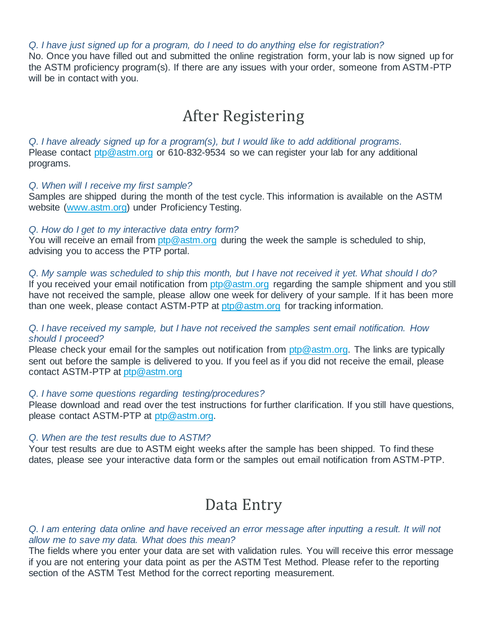*Q. I have just signed up for a program, do I need to do anything else for registration?*

No. Once you have filled out and submitted the online registration form, your lab is now signed up for the ASTM proficiency program(s). If there are any issues with your order, someone from ASTM-PTP will be in contact with you.

# After Registering

*Q. I have already signed up for a program(s), but I would like to add additional programs.* Please contact [ptp@astm.org](mailto:ptp@astm.org) or 610-832-9534 so we can register your lab for any additional programs.

#### *Q. When will I receive my first sample?*

Samples are shipped during the month of the test cycle. This information is available on the ASTM website [\(www.astm.org\)](https://www.astm.org/index.html) under Proficiency Testing.

#### *Q. How do I get to my interactive data entry form?*

You will receive an email from [ptp@astm.org](mailto:ptp@astm.org) during the week the sample is scheduled to ship, advising you to access the PTP portal.

#### *Q. My sample was scheduled to ship this month, but I have not received it yet. What should I do?*

If you received your email notification from [ptp@astm.org](mailto:ptp@astm.org) regarding the sample shipment and you still have not received the sample, please allow one week for delivery of your sample. If it has been more than one week, please contact ASTM-PTP at [ptp@astm.org](mailto:ptp@astm.org) for tracking information.

## *Q. I have received my sample, but I have not received the samples sent email notification. How should I proceed?*

Please check your email for the samples out notification from  $ptp@astm.org$ . The links are typically sent out before the sample is delivered to you. If you feel as if you did not receive the email, please contact ASTM-PTP at [ptp@astm.org](mailto:ptp@astm.org)

#### *Q. I have some questions regarding testing/procedures?*

Please download and read over the test instructions for further clarification. If you still have questions, please contact ASTM-PTP at [ptp@astm.org.](mailto:ptp@astm.org)

#### *Q. When are the test results due to ASTM?*

Your test results are due to ASTM eight weeks after the sample has been shipped. To find these dates, please see your interactive data form or the samples out email notification from ASTM-PTP.

# Data Entry

#### *Q. I am entering data online and have received an error message after inputting a result. It will not allow me to save my data. What does this mean?*

The fields where you enter your data are set with validation rules. You will receive this error message if you are not entering your data point as per the ASTM Test Method. Please refer to the reporting section of the ASTM Test Method for the correct reporting measurement.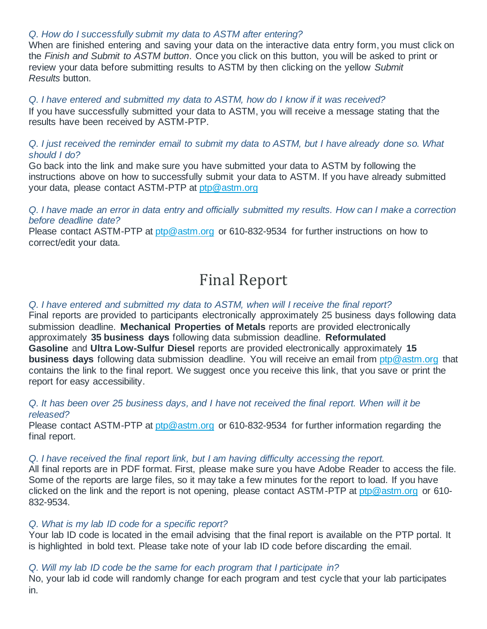### *Q. How do I successfully submit my data to ASTM after entering?*

When are finished entering and saving your data on the interactive data entry form, you must click on the *Finish and Submit to ASTM button*. Once you click on this button, you will be asked to print or review your data before submitting results to ASTM by then clicking on the yellow *Submit Results* button.

*Q. I have entered and submitted my data to ASTM, how do I know if it was received?* If you have successfully submitted your data to ASTM, you will receive a message stating that the results have been received by ASTM-PTP.

## *Q. I just received the reminder email to submit my data to ASTM, but I have already done so. What should I do?*

Go back into the link and make sure you have submitted your data to ASTM by following the instructions above on how to successfully submit your data to ASTM. If you have already submitted your data, please contact ASTM-PTP at [ptp@astm.org](mailto:ptp@astm.org)

*Q. I have made an error in data entry and officially submitted my results. How can I make a correction before deadline date?*

Please contact ASTM-PTP at [ptp@astm.org](mailto:ptp@astm.org) or 610-832-9534 for further instructions on how to correct/edit your data.

# Final Report

### *Q. I have entered and submitted my data to ASTM, when will I receive the final report?*

Final reports are provided to participants electronically approximately 25 business days following data submission deadline. **Mechanical Properties of Metals** reports are provided electronically approximately **35 business days** following data submission deadline. **Reformulated Gasoline** and **Ultra Low-Sulfur Diesel** reports are provided electronically approximately **15 business days** following data submission deadline. You will receive an email from [ptp@astm.org](mailto:ptp@astm.org) that contains the link to the final report. We suggest once you receive this link, that you save or print the report for easy accessibility.

### *Q. It has been over 25 business days, and I have not received the final report. When will it be released?*

Please contact ASTM-PTP at [ptp@astm.org](mailto:ptp@astm.org) or 610-832-9534 for further information regarding the final report.

#### *Q. I have received the final report link, but I am having difficulty accessing the report.*

All final reports are in PDF format. First, please make sure you have Adobe Reader to access the file. Some of the reports are large files, so it may take a few minutes for the report to load. If you have clicked on the link and the report is not opening, please contact ASTM-PTP at [ptp@astm.org](mailto:ptp@astm.org) or 610- 832-9534.

#### *Q. What is my lab ID code for a specific report?*

Your lab ID code is located in the email advising that the final report is available on the PTP portal. It is highlighted in bold text. Please take note of your lab ID code before discarding the email.

# *Q. Will my lab ID code be the same for each program that I participate in?*

No, your lab id code will randomly change for each program and test cycle that your lab participates in.